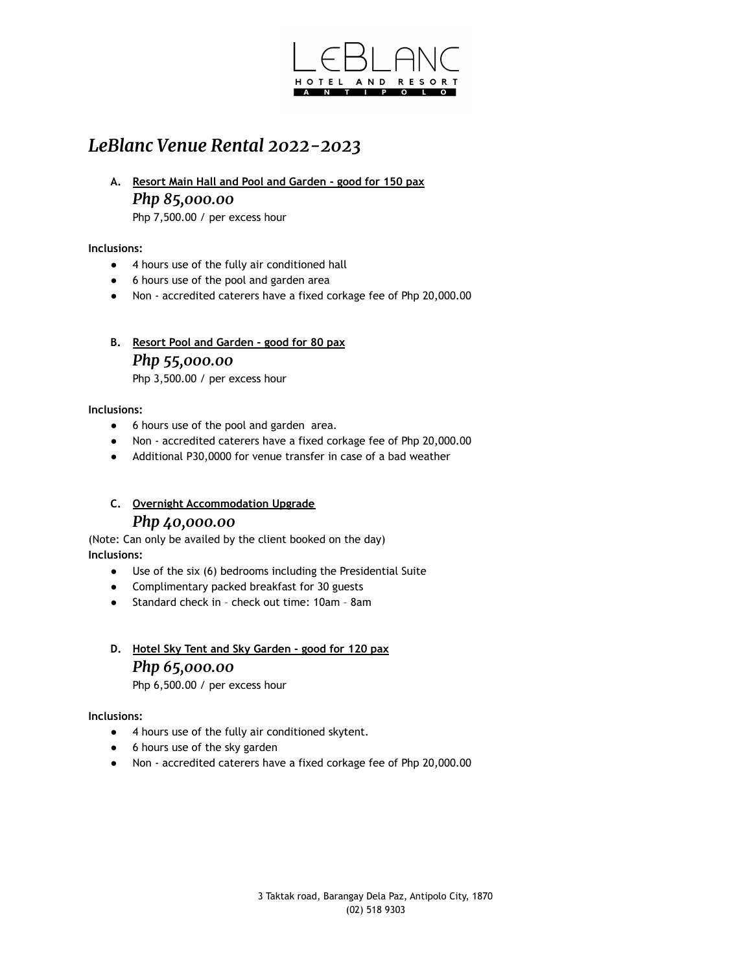

# *LeBlanc Venue Rental 2022-2023*

**A. Resort Main Hall and Pool and Garden - good for 150 pax** *Php 85,000.00*

Php 7,500.00 / per excess hour

### **Inclusions:**

- 4 hours use of the fully air conditioned hall
- 6 hours use of the pool and garden area
- Non accredited caterers have a fixed corkage fee of Php 20,000.00
- **B. Resort Pool and Garden good for 80 pax** *Php 55,000.00*

Php 3,500.00 / per excess hour

### **Inclusions:**

- 6 hours use of the pool and garden area.
- Non accredited caterers have a fixed corkage fee of Php 20,000.00
- Additional P30,0000 for venue transfer in case of a bad weather
- **C. Overnight Accommodation Upgrade** *Php 40,000.00*

(Note: Can only be availed by the client booked on the day) **Inclusions:**

- Use of the six (6) bedrooms including the Presidential Suite
- Complimentary packed breakfast for 30 guests
- Standard check in check out time: 10am 8am

## **D. Hotel Sky Tent and Sky Garden - good for 120 pax** *Php 65,000.00* Php 6,500.00 / per excess hour

#### **Inclusions:**

- 4 hours use of the fully air conditioned skytent.
- 6 hours use of the sky garden
- Non accredited caterers have a fixed corkage fee of Php 20,000.00